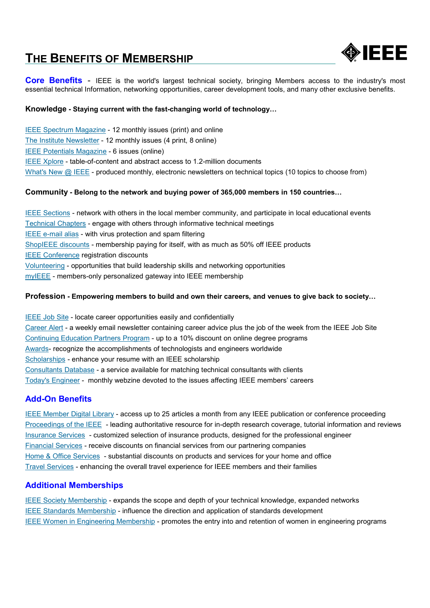# THE BENEFITS OF MEMBERSHIP



**Core Benefits** - IEEE is the world's largest technical society, bringing Members access to the industry's most essential technical Information, networking opportunities, career development tools, and many other exclusive benefits.

## Knowledge - Staying current with the fast-changing world of technology…

IEEE Spectrum Magazine - 12 monthly issues (print) and online The Institute Newsletter - 12 monthly issues (4 print, 8 online) IEEE Potentials Magazine - 6 issues (online) IEEE Xplore - table-of-content and abstract access to 1.2-million documents What's New @ IEEE - produced monthly, electronic newsletters on technical topics (10 topics to choose from)

## Community - Belong to the network and buying power of 365,000 members in 150 countries…

IEEE Sections - network with others in the local member community, and participate in local educational events Technical Chapters - engage with others through informative technical meetings IEEE e-mail alias - with virus protection and spam filtering ShopIEEE discounts - membership paying for itself, with as much as 50% off IEEE products IEEE Conference registration discounts Volunteering - opportunities that build leadership skills and networking opportunities myIEEE - members-only personalized gateway into IEEE membership

## Profession - Empowering members to build and own their careers, and venues to give back to society…

IEEE Job Site - locate career opportunities easily and confidentially Career Alert - a weekly email newsletter containing career advice plus the job of the week from the IEEE Job Site Continuing Education Partners Program - up to a 10% discount on online degree programs Awards- recognize the accomplishments of technologists and engineers worldwide Scholarships - enhance your resume with an IEEE scholarship Consultants Database - a service available for matching technical consultants with clients Today's Engineer - monthly webzine devoted to the issues affecting IEEE members' careers

## Add-On Benefits

IEEE Member Digital Library - access up to 25 articles a month from any IEEE publication or conference proceeding Proceedings of the IEEE - leading authoritative resource for in-depth research coverage, tutorial information and reviews Insurance Services - customized selection of insurance products, designed for the professional engineer Financial Services - receive discounts on financial services from our partnering companies Home & Office Services - substantial discounts on products and services for your home and office Travel Services - enhancing the overall travel experience for IEEE members and their families

## Additional Memberships

IEEE Society Membership - expands the scope and depth of your technical knowledge, expanded networks IEEE Standards Membership - influence the direction and application of standards development IEEE Women in Engineering Membership - promotes the entry into and retention of women in engineering programs